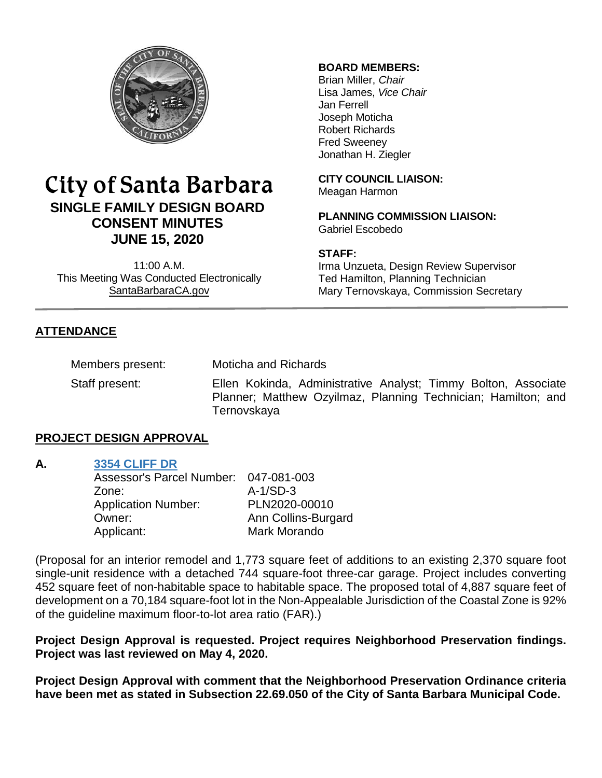

# City of Santa Barbara **SINGLE FAMILY DESIGN BOARD CONSENT MINUTES JUNE 15, 2020**

11:00 A.M. This Meeting Was Conducted Electronically [SantaBarbaraCA.gov](http://www.santabarbaraca.gov/)

## **BOARD MEMBERS:**

Brian Miller, *Chair* Lisa James, *Vice Chair* Jan Ferrell Joseph Moticha Robert Richards Fred Sweeney Jonathan H. Ziegler

**CITY COUNCIL LIAISON:** Meagan Harmon

**PLANNING COMMISSION LIAISON:** Gabriel Escobedo

### **STAFF:**

Irma Unzueta, Design Review Supervisor Ted Hamilton, Planning Technician Mary Ternovskaya, Commission Secretary

# **ATTENDANCE**

Members present: Moticha and Richards

Staff present: Ellen Kokinda, Administrative Analyst; Timmy Bolton, Associate Planner; Matthew Ozyilmaz, Planning Technician; Hamilton; and **Ternovskaya** 

## **PROJECT DESIGN APPROVAL**

### **A. [3354 CLIFF DR](https://www.santabarbaraca.gov/SBdocuments/Advisory_Groups/Single_Family_Design_Board/Archive/2020_Archives/03_Architectural_Drawings/2020-06-15_June_15_2020_3354_Cliff.pdf)**

| Assessor's Parcel Number:  | 047-081-003         |
|----------------------------|---------------------|
| Zone:                      | $A-1/SD-3$          |
| <b>Application Number:</b> | PLN2020-00010       |
| Owner:                     | Ann Collins-Burgard |
| Applicant:                 | Mark Morando        |

(Proposal for an interior remodel and 1,773 square feet of additions to an existing 2,370 square foot single-unit residence with a detached 744 square-foot three-car garage. Project includes converting 452 square feet of non-habitable space to habitable space. The proposed total of 4,887 square feet of development on a 70,184 square-foot lot in the Non-Appealable Jurisdiction of the Coastal Zone is 92% of the guideline maximum floor-to-lot area ratio (FAR).)

**Project Design Approval is requested. Project requires Neighborhood Preservation findings. Project was last reviewed on May 4, 2020.**

**Project Design Approval with comment that the Neighborhood Preservation Ordinance criteria have been met as stated in Subsection 22.69.050 of the City of Santa Barbara Municipal Code.**